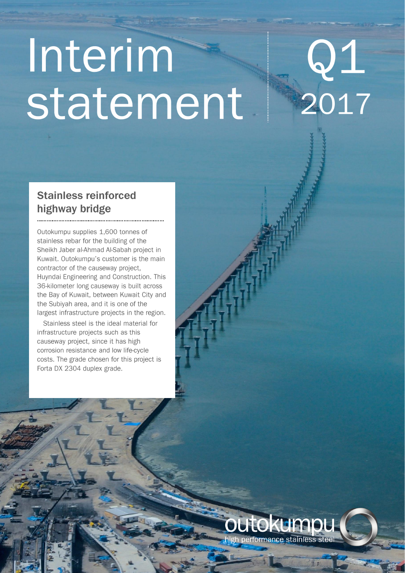# Interim statement

# $\mathsf{Q1}$ 2017

# **Stainless reinforced** highway bridge

Outokumpu supplies 1,600 tonnes of stainless rebar for the building of the Sheikh Jaber al-Ahmad Al-Sabah project in Kuwait. Outokumpu's customer is the main contractor of the causeway project, Huyndai Engineering and Construction. This 36-kilometer long causeway is built across the Bay of Kuwait, between Kuwait City and the Subiyah area, and it is one of the largest infrastructure projects in the region.

Stainless steel is the ideal material for infrastructure projects such as this causeway project, since it has high corrosion resistance and low life-cycle costs. The grade chosen for this project is Forta DX 2304 duplex grade.

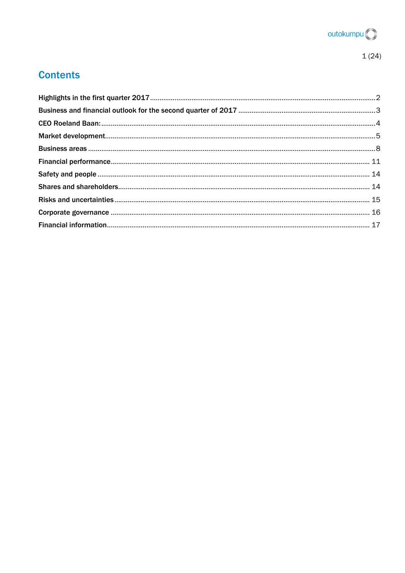

# **Contents**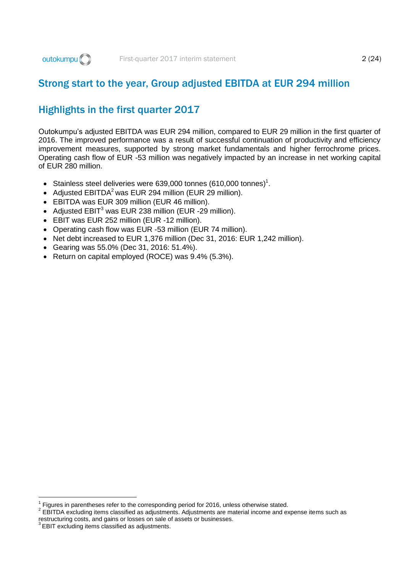# Strong start to the year, Group adjusted EBITDA at EUR 294 million

# <span id="page-2-0"></span>Highlights in the first quarter 2017

Outokumpu's adjusted EBITDA was EUR 294 million, compared to EUR 29 million in the first quarter of 2016. The improved performance was a result of successful continuation of productivity and efficiency improvement measures, supported by strong market fundamentals and higher ferrochrome prices. Operating cash flow of EUR -53 million was negatively impacted by an increase in net working capital of EUR 280 million.

- Stainless steel deliveries were 639,000 tonnes (610,000 tonnes)<sup>1</sup>.
- Adjusted  $EBITDA<sup>2</sup>$  was EUR 294 million (EUR 29 million).
- EBITDA was EUR 309 million (EUR 46 million).
- Adjusted EBIT<sup>3</sup> was EUR 238 million (EUR -29 million).
- EBIT was EUR 252 million (EUR -12 million).
- Operating cash flow was EUR -53 million (EUR 74 million).
- $\bullet$  Net debt increased to EUR 1,376 million (Dec 31, 2016: EUR 1,242 million).
- Gearing was 55.0% (Dec 31, 2016: 51.4%).
- Return on capital employed (ROCE) was 9.4% (5.3%).

1

<sup>1</sup> Figures in parentheses refer to the corresponding period for 2016, unless otherwise stated.

 $2$  EBITDA excluding items classified as adjustments. Adjustments are material income and expense items such as restructuring costs, and gains or losses on sale of assets or businesses. 3

EBIT excluding items classified as adjustments.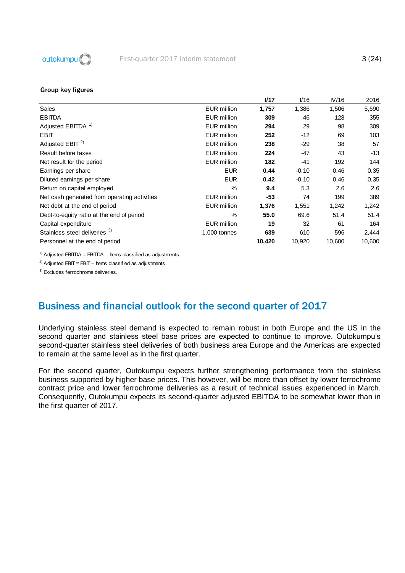

|                                              |                    | I/17   | V16     | IV/16  | 2016   |
|----------------------------------------------|--------------------|--------|---------|--------|--------|
| Sales                                        | <b>EUR million</b> | 1,757  | 1,386   | 1,506  | 5,690  |
| <b>EBITDA</b>                                | <b>EUR</b> million | 309    | 46      | 128    | 355    |
| Adjusted EBITDA <sup>1)</sup>                | <b>EUR</b> million | 294    | 29      | 98     | 309    |
| <b>EBIT</b>                                  | <b>EUR</b> million | 252    | $-12$   | 69     | 103    |
| Adjusted EBIT <sup>2)</sup>                  | <b>EUR</b> million | 238    | $-29$   | 38     | 57     |
| Result before taxes                          | EUR million        | 224    | -47     | 43     | $-13$  |
| Net result for the period                    | EUR million        | 182    | $-41$   | 192    | 144    |
| Earnings per share                           | <b>EUR</b>         | 0.44   | $-0.10$ | 0.46   | 0.35   |
| Diluted earnings per share                   | <b>EUR</b>         | 0.42   | $-0.10$ | 0.46   | 0.35   |
| Return on capital employed                   | $\%$               | 9.4    | 5.3     | 2.6    | 2.6    |
| Net cash generated from operating activities | EUR million        | $-53$  | 74      | 199    | 389    |
| Net debt at the end of period                | <b>EUR million</b> | 1,376  | 1,551   | 1,242  | 1,242  |
| Debt-to-equity ratio at the end of period    | $\%$               | 55.0   | 69.6    | 51.4   | 51.4   |
| Capital expenditure                          | <b>EUR</b> million | 19     | 32      | 61     | 164    |
| Stainless steel deliveries 3)                | 1,000 tonnes       | 639    | 610     | 596    | 2,444  |
| Personnel at the end of period               |                    | 10,420 | 10,920  | 10,600 | 10,600 |

<sup>1)</sup> Adjusted EBITDA = EBITDA – Items classified as adjustments.

<sup>2)</sup> Adjusted EBIT = EBIT – Items classified as adjustments.

3) Excludes ferrochrome deliveries.

# <span id="page-3-0"></span>Business and financial outlook for the second quarter of 2017

Underlying stainless steel demand is expected to remain robust in both Europe and the US in the second quarter and stainless steel base prices are expected to continue to improve. Outokumpu's second-quarter stainless steel deliveries of both business area Europe and the Americas are expected to remain at the same level as in the first quarter.

For the second quarter, Outokumpu expects further strengthening performance from the stainless business supported by higher base prices. This however, will be more than offset by lower ferrochrome contract price and lower ferrochrome deliveries as a result of technical issues experienced in March. Consequently, Outokumpu expects its second-quarter adjusted EBITDA to be somewhat lower than in the first quarter of 2017.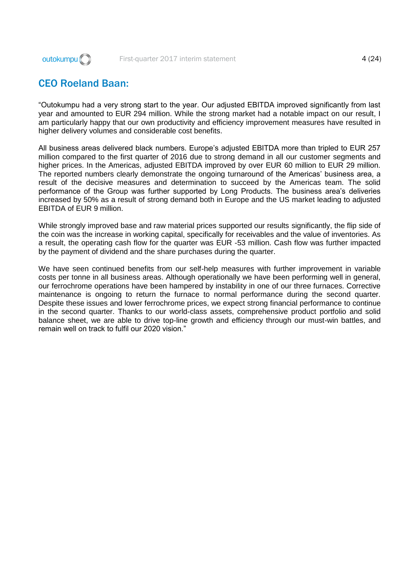

# <span id="page-4-0"></span>CEO Roeland Baan:

"Outokumpu had a very strong start to the year. Our adjusted EBITDA improved significantly from last year and amounted to EUR 294 million. While the strong market had a notable impact on our result, I am particularly happy that our own productivity and efficiency improvement measures have resulted in higher delivery volumes and considerable cost benefits.

All business areas delivered black numbers. Europe's adjusted EBITDA more than tripled to EUR 257 million compared to the first quarter of 2016 due to strong demand in all our customer segments and higher prices. In the Americas, adjusted EBITDA improved by over EUR 60 million to EUR 29 million. The reported numbers clearly demonstrate the ongoing turnaround of the Americas' business area, a result of the decisive measures and determination to succeed by the Americas team. The solid performance of the Group was further supported by Long Products. The business area's deliveries increased by 50% as a result of strong demand both in Europe and the US market leading to adjusted EBITDA of EUR 9 million.

While strongly improved base and raw material prices supported our results significantly, the flip side of the coin was the increase in working capital, specifically for receivables and the value of inventories. As a result, the operating cash flow for the quarter was EUR -53 million. Cash flow was further impacted by the payment of dividend and the share purchases during the quarter.

We have seen continued benefits from our self-help measures with further improvement in variable costs per tonne in all business areas. Although operationally we have been performing well in general, our ferrochrome operations have been hampered by instability in one of our three furnaces. Corrective maintenance is ongoing to return the furnace to normal performance during the second quarter. Despite these issues and lower ferrochrome prices, we expect strong financial performance to continue in the second quarter. Thanks to our world-class assets, comprehensive product portfolio and solid balance sheet, we are able to drive top-line growth and efficiency through our must-win battles, and remain well on track to fulfil our 2020 vision."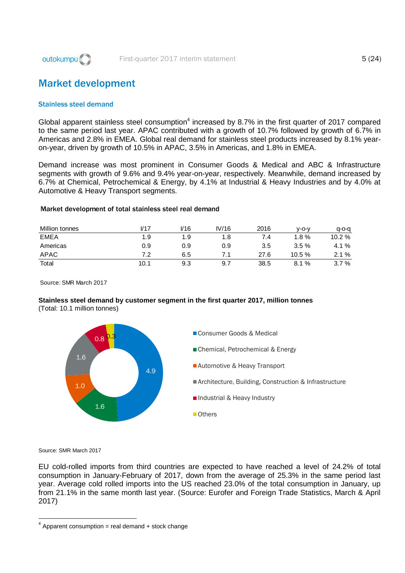

# <span id="page-5-0"></span>Market development

#### Stainless steel demand

Global apparent stainless steel consumption<sup>4</sup> increased by 8.7% in the first quarter of 2017 compared to the same period last year. APAC contributed with a growth of 10.7% followed by growth of 6.7% in Americas and 2.8% in EMEA. Global real demand for stainless steel products increased by 8.1% yearon-year, driven by growth of 10.5% in APAC, 3.5% in Americas, and 1.8% in EMEA.

Demand increase was most prominent in Consumer Goods & Medical and ABC & Infrastructure segments with growth of 9.6% and 9.4% year-on-year, respectively. Meanwhile, demand increased by 6.7% at Chemical, Petrochemical & Energy, by 4.1% at Industrial & Heavy Industries and by 4.0% at Automotive & Heavy Transport segments.

| <b>Million tonnes</b> | V17  | V16 | IV/16 | 2016 | v-o-v    | $q$ -o-q |
|-----------------------|------|-----|-------|------|----------|----------|
| <b>EMEA</b>           | 1.9  | 1.9 | 1.8   | 7.4  | $1.8\%$  | 10.2%    |
| Americas              | 0.9  | 0.9 | 0.9   | 3.5  | 3.5%     | 4.1 %    |
| <b>APAC</b>           | 7.2  | 6.5 |       | 27.6 | $10.5\%$ | 2.1%     |
| Total                 | 10.1 | 9.3 | 9.7   | 38.5 | 8.1%     | 3.7%     |

Source: SMR March 2017

#### **Stainless steel demand by customer segment in the first quarter 2017, million tonnes** (Total: 10.1 million tonnes)



Source: SMR March 2017

1

EU cold-rolled imports from third countries are expected to have reached a level of 24.2% of total consumption in January-February of 2017, down from the average of 25.3% in the same period last year. Average cold rolled imports into the US reached 23.0% of the total consumption in January, up from 21.1% in the same month last year. (Source: Eurofer and Foreign Trade Statistics, March & April 2017)

 $4$  Apparent consumption = real demand + stock change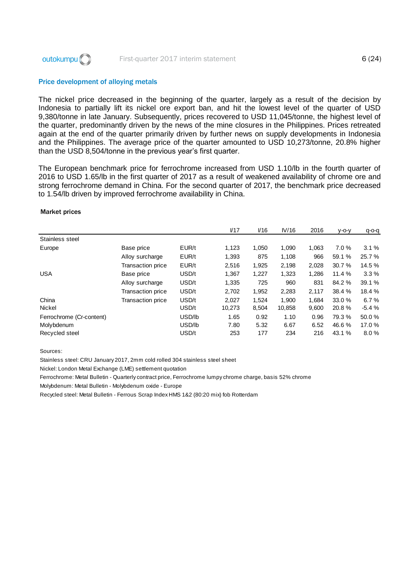

#### Price development of alloying metals

The nickel price decreased in the beginning of the quarter, largely as a result of the decision by Indonesia to partially lift its nickel ore export ban, and hit the lowest level of the quarter of USD 9,380/tonne in late January. Subsequently, prices recovered to USD 11,045/tonne, the highest level of the quarter, predominantly driven by the news of the mine closures in the Philippines. Prices retreated again at the end of the quarter primarily driven by further news on supply developments in Indonesia and the Philippines. The average price of the quarter amounted to USD 10,273/tonne, 20.8% higher than the USD 8,504/tonne in the previous year's first quarter.

The European benchmark price for ferrochrome increased from USD 1.10/lb in the fourth quarter of 2016 to USD 1.65/lb in the first quarter of 2017 as a result of weakened availability of chrome ore and strong ferrochrome demand in China. For the second quarter of 2017, the benchmark price decreased to 1.54/lb driven by improved ferrochrome availability in China.

#### Market prices

|                          |                          |        | V17    | V16   | IV/16  | 2016  | $V$ -O-V | $q$ -o-q |
|--------------------------|--------------------------|--------|--------|-------|--------|-------|----------|----------|
| Stainless steel          |                          |        |        |       |        |       |          |          |
| Europe                   | Base price               | EUR/t  | 1,123  | 1,050 | 1.090  | 1.063 | 7.0%     | 3.1%     |
|                          | Alloy surcharge          | EUR/t  | 1,393  | 875   | 1,108  | 966   | 59.1 %   | 25.7 %   |
|                          | Transaction price        | EUR/t  | 2,516  | 1,925 | 2,198  | 2,028 | 30.7 %   | 14.5 %   |
| <b>USA</b>               | Base price               | USD/t  | 1,367  | 1,227 | 1,323  | 1,286 | 11.4%    | 3.3%     |
|                          | Alloy surcharge          | USD/t  | 1,335  | 725   | 960    | 831   | 84.2 %   | 39.1 %   |
|                          | <b>Transaction price</b> | USD/t  | 2,702  | 1,952 | 2,283  | 2,117 | 38.4 %   | 18.4 %   |
| China                    | <b>Transaction price</b> | USD/t  | 2,027  | 1.524 | 1.900  | 1.684 | 33.0 %   | 6.7%     |
| <b>Nickel</b>            |                          | USD/t  | 10,273 | 8,504 | 10,858 | 9,600 | 20.8%    | $-5.4%$  |
| Ferrochrome (Cr-content) |                          | USD/lb | 1.65   | 0.92  | 1.10   | 0.96  | 79.3 %   | 50.0%    |
| Molybdenum               |                          | USD/lb | 7.80   | 5.32  | 6.67   | 6.52  | 46.6%    | 17.0 %   |
| Recycled steel           |                          | USD/t  | 253    | 177   | 234    | 216   | 43.1 %   | 8.0%     |

Sources:

Stainless steel: CRU January 2017, 2mm cold rolled 304 stainless steel sheet

Nickel: London Metal Exchange (LME) settlement quotation

Ferrochrome: Metal Bulletin - Quarterly contract price, Ferrochrome lumpy chrome charge, basis 52% chrome

Molybdenum: Metal Bulletin - Molybdenum oxide - Europe

Recycled steel: Metal Bulletin - Ferrous Scrap Index HMS 1&2 (80:20 mix) fob Rotterdam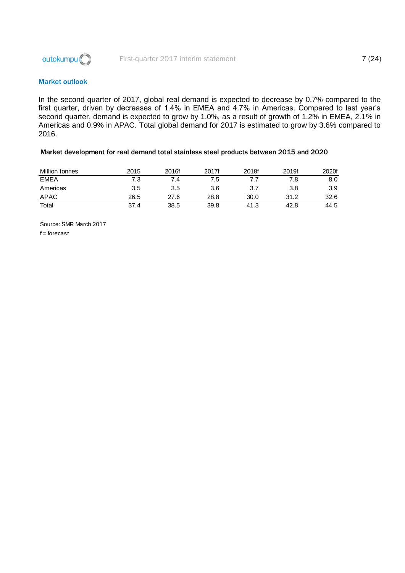

### Market outlook

In the second quarter of 2017, global real demand is expected to decrease by 0.7% compared to the first quarter, driven by decreases of 1.4% in EMEA and 4.7% in Americas. Compared to last year's second quarter, demand is expected to grow by 1.0%, as a result of growth of 1.2% in EMEA, 2.1% in Americas and 0.9% in APAC. Total global demand for 2017 is estimated to grow by 3.6% compared to 2016.

#### Market development for real demand total stainless steel products between 2015 and 2020

| Million tonnes | 2015 | 2016f | 2017f | 2018f | 2019f | 2020f |
|----------------|------|-------|-------|-------|-------|-------|
| <b>EMEA</b>    | 7.3  | 7.4   | 7.5   |       |       | 8.0   |
| Americas       | 3.5  | 3.5   | 3.6   | 3.7   | 3.8   | 3.9   |
| APAC           | 26.5 | 27.6  | 28.8  | 30.0  | 31.2  | 32.6  |
| Total          | 37.4 | 38.5  | 39.8  | 41.3  | 42.8  | 44.5  |

Source: SMR March 2017  $f =$  forecast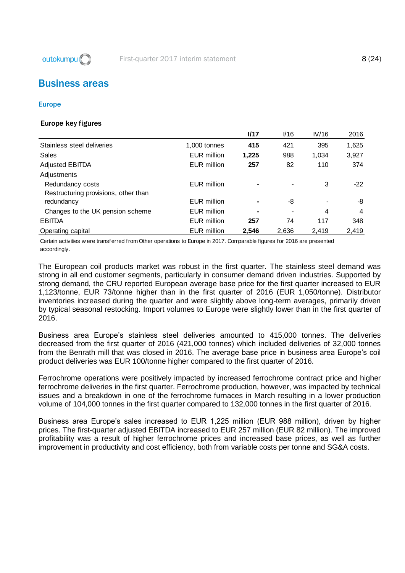outokumpu<sup>(</sup>C)

# <span id="page-8-0"></span>Business areas

#### Europe

#### Europe key figures

|                                      |                    | I/17           | V16   | IV/16 | 2016  |
|--------------------------------------|--------------------|----------------|-------|-------|-------|
| Stainless steel deliveries           | 1,000 tonnes       | 415            | 421   | 395   | 1,625 |
| Sales                                | EUR million        | 1,225          | 988   | 1,034 | 3,927 |
| <b>Adjusted EBITDA</b>               | EUR million        | 257            | 82    | 110   | 374   |
| Adjustments                          |                    |                |       |       |       |
| Redundancy costs                     | <b>EUR million</b> | $\blacksquare$ |       | 3     | $-22$ |
| Restructuring provisions, other than |                    |                |       |       |       |
| redundancy                           | <b>EUR million</b> |                | -8    |       | -8    |
| Changes to the UK pension scheme     | <b>EUR million</b> | $\blacksquare$ |       | 4     | 4     |
| <b>EBITDA</b>                        | <b>EUR million</b> | 257            | 74    | 117   | 348   |
| Operating capital                    | <b>EUR million</b> | 2.546          | 2.636 | 2.419 | 2,419 |

Certain activities w ere transferred from Other operations to Europe in 2017. Comparable figures for 2016 are presented accordingly.

The European coil products market was robust in the first quarter. The stainless steel demand was strong in all end customer segments, particularly in consumer demand driven industries. Supported by strong demand, the CRU reported European average base price for the first quarter increased to EUR 1,123/tonne, EUR 73/tonne higher than in the first quarter of 2016 (EUR 1,050/tonne). Distributor inventories increased during the quarter and were slightly above long-term averages, primarily driven by typical seasonal restocking. Import volumes to Europe were slightly lower than in the first quarter of 2016.

Business area Europe's stainless steel deliveries amounted to 415,000 tonnes. The deliveries decreased from the first quarter of 2016 (421,000 tonnes) which included deliveries of 32,000 tonnes from the Benrath mill that was closed in 2016. The average base price in business area Europe's coil product deliveries was EUR 100/tonne higher compared to the first quarter of 2016.

Ferrochrome operations were positively impacted by increased ferrochrome contract price and higher ferrochrome deliveries in the first quarter. Ferrochrome production, however, was impacted by technical issues and a breakdown in one of the ferrochrome furnaces in March resulting in a lower production volume of 104,000 tonnes in the first quarter compared to 132,000 tonnes in the first quarter of 2016.

Business area Europe's sales increased to EUR 1,225 million (EUR 988 million), driven by higher prices. The first-quarter adjusted EBITDA increased to EUR 257 million (EUR 82 million). The improved profitability was a result of higher ferrochrome prices and increased base prices, as well as further improvement in productivity and cost efficiency, both from variable costs per tonne and SG&A costs.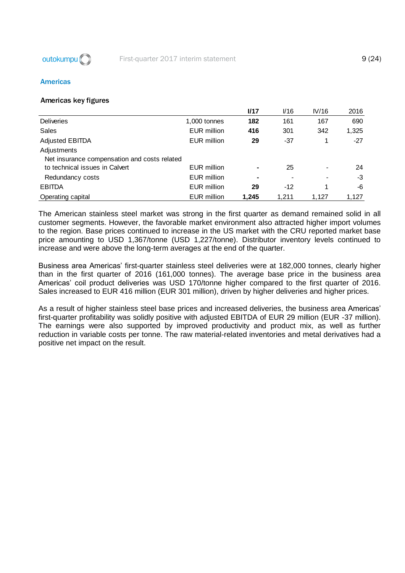

#### Americas

#### Americas key figures

|                                              |                    | I/17           | V16   | IV/16 | 2016  |
|----------------------------------------------|--------------------|----------------|-------|-------|-------|
| <b>Deliveries</b>                            | 1,000 tonnes       | 182            | 161   | 167   | 690   |
| Sales                                        | <b>EUR million</b> | 416            | 301   | 342   | 1,325 |
| <b>Adjusted EBITDA</b>                       | EUR million        | 29             | $-37$ |       | $-27$ |
| Adjustments                                  |                    |                |       |       |       |
| Net insurance compensation and costs related |                    |                |       |       |       |
| to technical issues in Calvert               | <b>EUR million</b> | $\blacksquare$ | 25    |       | 24    |
| Redundancy costs                             | EUR million        | ۰              |       |       | -3    |
| <b>EBITDA</b>                                | EUR million        | 29             | $-12$ | 4     | -6    |
| Operating capital                            | <b>EUR million</b> | 1.245          | 1.211 | 1.127 | 1.127 |

The American stainless steel market was strong in the first quarter as demand remained solid in all customer segments. However, the favorable market environment also attracted higher import volumes to the region. Base prices continued to increase in the US market with the CRU reported market base price amounting to USD 1,367/tonne (USD 1,227/tonne). Distributor inventory levels continued to increase and were above the long-term averages at the end of the quarter.

Business area Americas' first-quarter stainless steel deliveries were at 182,000 tonnes, clearly higher than in the first quarter of 2016 (161,000 tonnes). The average base price in the business area Americas' coil product deliveries was USD 170/tonne higher compared to the first quarter of 2016. Sales increased to EUR 416 million (EUR 301 million), driven by higher deliveries and higher prices.

As a result of higher stainless steel base prices and increased deliveries, the business area Americas' first-quarter profitability was solidly positive with adjusted EBITDA of EUR 29 million (EUR -37 million). The earnings were also supported by improved productivity and product mix, as well as further reduction in variable costs per tonne. The raw material-related inventories and metal derivatives had a positive net impact on the result.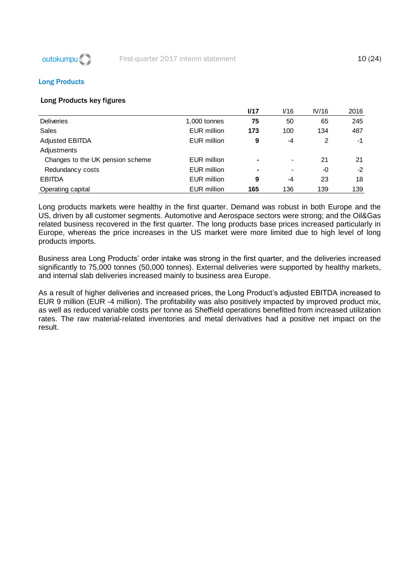

#### Long Products

#### Long Products key figures

|                                  |                    | <b>I/17</b> | V16  | IV/16 | 2016 |
|----------------------------------|--------------------|-------------|------|-------|------|
| <b>Deliveries</b>                | 1,000 tonnes       | 75          | 50   | 65    | 245  |
| Sales                            | <b>EUR million</b> | 173         | 100  | 134   | 487  |
| <b>Adjusted EBITDA</b>           | <b>EUR million</b> | 9           | $-4$ | 2     | $-1$ |
| Adjustments                      |                    |             |      |       |      |
| Changes to the UK pension scheme | <b>EUR million</b> | ۰           | ۰.   | 21    | 21   |
| Redundancy costs                 | <b>EUR million</b> |             |      | -0    | $-2$ |
| <b>EBITDA</b>                    | <b>EUR million</b> | 9           | -4   | 23    | 18   |
| Operating capital                | <b>EUR million</b> | 165         | 136  | 139   | 139  |

Long products markets were healthy in the first quarter. Demand was robust in both Europe and the US, driven by all customer segments. Automotive and Aerospace sectors were strong; and the Oil&Gas related business recovered in the first quarter. The long products base prices increased particularly in Europe, whereas the price increases in the US market were more limited due to high level of long products imports.

Business area Long Products' order intake was strong in the first quarter, and the deliveries increased significantly to 75,000 tonnes (50,000 tonnes). External deliveries were supported by healthy markets, and internal slab deliveries increased mainly to business area Europe.

As a result of higher deliveries and increased prices, the Long Product's adjusted EBITDA increased to EUR 9 million (EUR -4 million). The profitability was also positively impacted by improved product mix, as well as reduced variable costs per tonne as Sheffield operations benefitted from increased utilization rates. The raw material-related inventories and metal derivatives had a positive net impact on the result.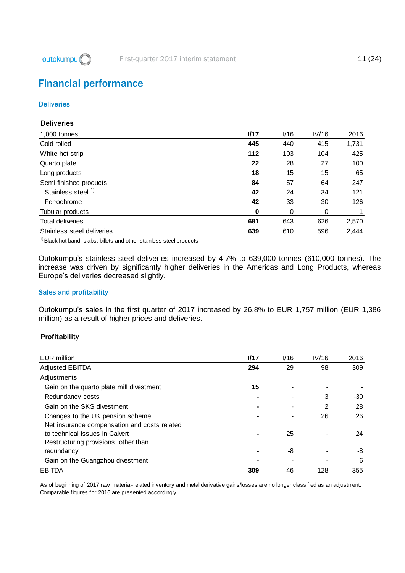

# <span id="page-11-0"></span>Financial performance

#### **Deliveries**

### **Deliveries**

| 1,000 tonnes                  | I/17 | $V$ 16 | IV/16 | 2016  |
|-------------------------------|------|--------|-------|-------|
| Cold rolled                   | 445  | 440    | 415   | 1,731 |
| White hot strip               | 112  | 103    | 104   | 425   |
| Quarto plate                  | 22   | 28     | 27    | 100   |
| Long products                 | 18   | 15     | 15    | 65    |
| Semi-finished products        | 84   | 57     | 64    | 247   |
| Stainless steel <sup>1)</sup> | 42   | 24     | 34    | 121   |
| Ferrochrome                   | 42   | 33     | 30    | 126   |
| Tubular products              | 0    | 0      | 0     |       |
| <b>Total deliveries</b>       | 681  | 643    | 626   | 2,570 |
| Stainless steel deliveries    | 639  | 610    | 596   | 2,444 |

<sup>1)</sup> Black hot band, slabs, billets and other stainless steel products

Outokumpu's stainless steel deliveries increased by 4.7% to 639,000 tonnes (610,000 tonnes). The increase was driven by significantly higher deliveries in the Americas and Long Products, whereas Europe's deliveries decreased slightly.

#### Sales and profitability

Outokumpu's sales in the first quarter of 2017 increased by 26.8% to EUR 1,757 million (EUR 1,386 million) as a result of higher prices and deliveries.

#### **Profitability**

| EUR million                                  | I/17 | V16 | IV/16 | 2016  |
|----------------------------------------------|------|-----|-------|-------|
| <b>Adjusted EBITDA</b>                       | 294  | 29  | 98    | 309   |
| Adjustments                                  |      |     |       |       |
| Gain on the quarto plate mill divestment     | 15   |     |       |       |
| Redundancy costs                             |      |     | 3     | $-30$ |
| Gain on the SKS divestment                   |      |     | 2     | 28    |
| Changes to the UK pension scheme             |      |     | 26    | 26    |
| Net insurance compensation and costs related |      |     |       |       |
| to technical issues in Calvert               |      | 25  |       | 24    |
| Restructuring provisions, other than         |      |     |       |       |
| redundancy                                   |      | -8  |       | -8    |
| Gain on the Guangzhou divestment             |      |     |       | 6     |
| <b>EBITDA</b>                                | 309  | 46  | 128   | 355   |

As of beginning of 2017 raw material-related inventory and metal derivative gains/losses are no longer classified as an adjustment. Comparable figures for 2016 are presented accordingly.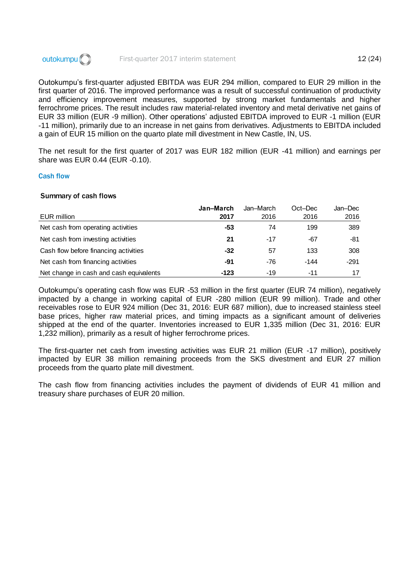

Outokumpu's first-quarter adjusted EBITDA was EUR 294 million, compared to EUR 29 million in the first quarter of 2016. The improved performance was a result of successful continuation of productivity and efficiency improvement measures, supported by strong market fundamentals and higher ferrochrome prices. The result includes raw material-related inventory and metal derivative net gains of EUR 33 million (EUR -9 million). Other operations' adjusted EBITDA improved to EUR -1 million (EUR -11 million), primarily due to an increase in net gains from derivatives. Adjustments to EBITDA included a gain of EUR 15 million on the quarto plate mill divestment in New Castle, IN, US.

The net result for the first quarter of 2017 was EUR 182 million (EUR -41 million) and earnings per share was EUR 0.44 (EUR -0.10).

#### Cash flow

#### Summary of cash flows

|                                         | Jan-March | Jan–March | Oct-Dec | Jan–Dec |
|-----------------------------------------|-----------|-----------|---------|---------|
| EUR million                             | 2017      | 2016      | 2016    | 2016    |
| Net cash from operating activities      | -53       | 74        | 199     | 389     |
| Net cash from investing activities      | 21        | $-17$     | -67     | -81     |
| Cash flow before financing activities   | -32       | 57        | 133     | 308     |
| Net cash from financing activities      | -91       | -76       | -144    | $-291$  |
| Net change in cash and cash equivalents | $-123$    | -19       | $-11$   | 17      |

Outokumpu's operating cash flow was EUR -53 million in the first quarter (EUR 74 million), negatively impacted by a change in working capital of EUR -280 million (EUR 99 million). Trade and other receivables rose to EUR 924 million (Dec 31, 2016: EUR 687 million), due to increased stainless steel base prices, higher raw material prices, and timing impacts as a significant amount of deliveries shipped at the end of the quarter. Inventories increased to EUR 1,335 million (Dec 31, 2016: EUR 1,232 million), primarily as a result of higher ferrochrome prices.

The first-quarter net cash from investing activities was EUR 21 million (EUR -17 million), positively impacted by EUR 38 million remaining proceeds from the SKS divestment and EUR 27 million proceeds from the quarto plate mill divestment.

The cash flow from financing activities includes the payment of dividends of EUR 41 million and treasury share purchases of EUR 20 million.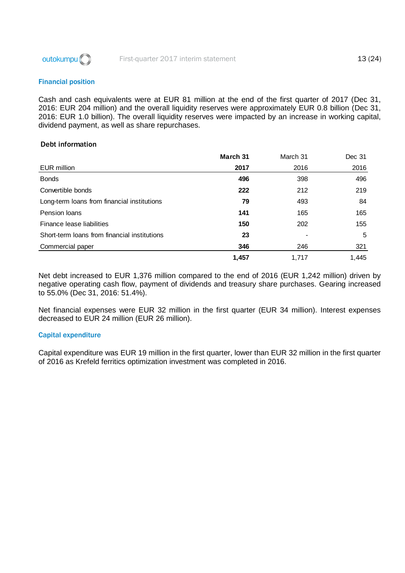

#### Financial position

Cash and cash equivalents were at EUR 81 million at the end of the first quarter of 2017 (Dec 31, 2016: EUR 204 million) and the overall liquidity reserves were approximately EUR 0.8 billion (Dec 31, 2016: EUR 1.0 billion). The overall liquidity reserves were impacted by an increase in working capital, dividend payment, as well as share repurchases.

#### Debt information

|                                              | March 31 | March 31 | Dec 31 |
|----------------------------------------------|----------|----------|--------|
| EUR million                                  | 2017     | 2016     | 2016   |
| <b>Bonds</b>                                 | 496      | 398      | 496    |
| Convertible bonds                            | 222      | 212      | 219    |
| Long-term loans from financial institutions  | 79       | 493      | 84     |
| Pension Ioans                                | 141      | 165      | 165    |
| Finance lease liabilities                    | 150      | 202      | 155    |
| Short-term loans from financial institutions | 23       |          | 5      |
| Commercial paper                             | 346      | 246      | 321    |
|                                              | 1,457    | 1.717    | 1,445  |

Net debt increased to EUR 1,376 million compared to the end of 2016 (EUR 1,242 million) driven by negative operating cash flow, payment of dividends and treasury share purchases. Gearing increased to 55.0% (Dec 31, 2016: 51.4%).

Net financial expenses were EUR 32 million in the first quarter (EUR 34 million). Interest expenses decreased to EUR 24 million (EUR 26 million).

#### Capital expenditure

Capital expenditure was EUR 19 million in the first quarter, lower than EUR 32 million in the first quarter of 2016 as Krefeld ferritics optimization investment was completed in 2016.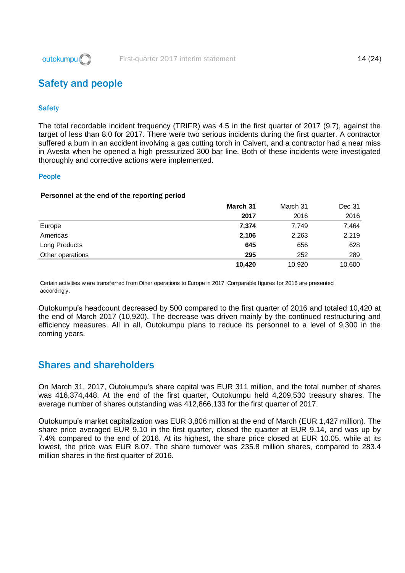

# <span id="page-14-0"></span>Safety and people

#### **Safety**

The total recordable incident frequency (TRIFR) was 4.5 in the first quarter of 2017 (9.7), against the target of less than 8.0 for 2017. There were two serious incidents during the first quarter. A contractor suffered a burn in an accident involving a gas cutting torch in Calvert, and a contractor had a near miss in Avesta when he opened a high pressurized 300 bar line. Both of these incidents were investigated thoroughly and corrective actions were implemented.

#### People

#### Personnel at the end of the reporting period

|                  | March 31 | March 31 | Dec 31 |
|------------------|----------|----------|--------|
|                  | 2017     | 2016     | 2016   |
| Europe           | 7,374    | 7,749    | 7,464  |
| Americas         | 2,106    | 2,263    | 2,219  |
| Long Products    | 645      | 656      | 628    |
| Other operations | 295      | 252      | 289    |
|                  | 10,420   | 10,920   | 10,600 |

Certain activities w ere transferred from Other operations to Europe in 2017. Comparable figures for 2016 are presented accordingly.

Outokumpu's headcount decreased by 500 compared to the first quarter of 2016 and totaled 10,420 at the end of March 2017 (10,920). The decrease was driven mainly by the continued restructuring and efficiency measures. All in all, Outokumpu plans to reduce its personnel to a level of 9,300 in the coming years.

## <span id="page-14-1"></span>Shares and shareholders

On March 31, 2017, Outokumpu's share capital was EUR 311 million, and the total number of shares was 416,374,448. At the end of the first quarter, Outokumpu held 4,209,530 treasury shares. The average number of shares outstanding was 412,866,133 for the first quarter of 2017.

Outokumpu's market capitalization was EUR 3,806 million at the end of March (EUR 1,427 million). The share price averaged EUR 9.10 in the first quarter, closed the quarter at EUR 9.14, and was up by 7.4% compared to the end of 2016. At its highest, the share price closed at EUR 10.05, while at its lowest, the price was EUR 8.07. The share turnover was 235.8 million shares, compared to 283.4 million shares in the first quarter of 2016.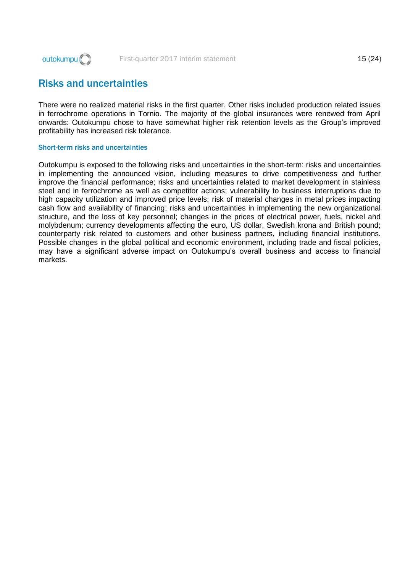

# <span id="page-15-0"></span>Risks and uncertainties

There were no realized material risks in the first quarter. Other risks included production related issues in ferrochrome operations in Tornio. The majority of the global insurances were renewed from April onwards: Outokumpu chose to have somewhat higher risk retention levels as the Group's improved profitability has increased risk tolerance.

#### Short-term risks and uncertainties

Outokumpu is exposed to the following risks and uncertainties in the short-term: risks and uncertainties in implementing the announced vision, including measures to drive competitiveness and further improve the financial performance; risks and uncertainties related to market development in stainless steel and in ferrochrome as well as competitor actions; vulnerability to business interruptions due to high capacity utilization and improved price levels; risk of material changes in metal prices impacting cash flow and availability of financing; risks and uncertainties in implementing the new organizational structure, and the loss of key personnel; changes in the prices of electrical power, fuels, nickel and molybdenum; currency developments affecting the euro, US dollar, Swedish krona and British pound; counterparty risk related to customers and other business partners, including financial institutions. Possible changes in the global political and economic environment, including trade and fiscal policies, may have a significant adverse impact on Outokumpu's overall business and access to financial markets.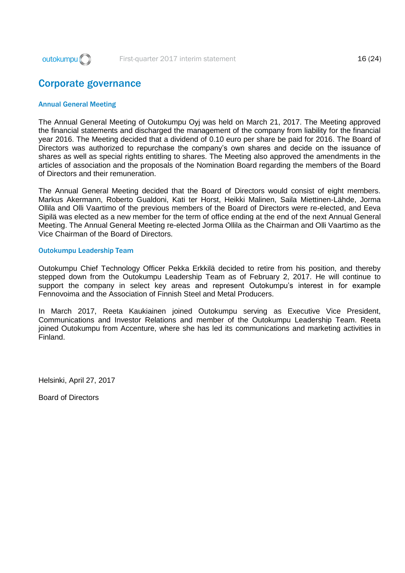

# <span id="page-16-0"></span>Corporate governance

#### Annual General Meeting

The Annual General Meeting of Outokumpu Oyj was held on March 21, 2017. The Meeting approved the financial statements and discharged the management of the company from liability for the financial year 2016. The Meeting decided that a dividend of 0.10 euro per share be paid for 2016. The Board of Directors was authorized to repurchase the company's own shares and decide on the issuance of shares as well as special rights entitling to shares. The Meeting also approved the amendments in the articles of association and the proposals of the Nomination Board regarding the members of the Board of Directors and their remuneration.

The Annual General Meeting decided that the Board of Directors would consist of eight members. Markus Akermann, Roberto Gualdoni, Kati ter Horst, Heikki Malinen, Saila Miettinen-Lähde, Jorma Ollila and Olli Vaartimo of the previous members of the Board of Directors were re-elected, and Eeva Sipilä was elected as a new member for the term of office ending at the end of the next Annual General Meeting. The Annual General Meeting re-elected Jorma Ollila as the Chairman and Olli Vaartimo as the Vice Chairman of the Board of Directors.

#### Outokumpu Leadership Team

Outokumpu Chief Technology Officer Pekka Erkkilä decided to retire from his position, and thereby stepped down from the Outokumpu Leadership Team as of February 2, 2017. He will continue to support the company in select key areas and represent Outokumpu's interest in for example Fennovoima and the Association of Finnish Steel and Metal Producers.

In March 2017, Reeta Kaukiainen joined Outokumpu serving as Executive Vice President, Communications and Investor Relations and member of the Outokumpu Leadership Team. Reeta joined Outokumpu from Accenture, where she has led its communications and marketing activities in Finland.

Helsinki, April 27, 2017

Board of Directors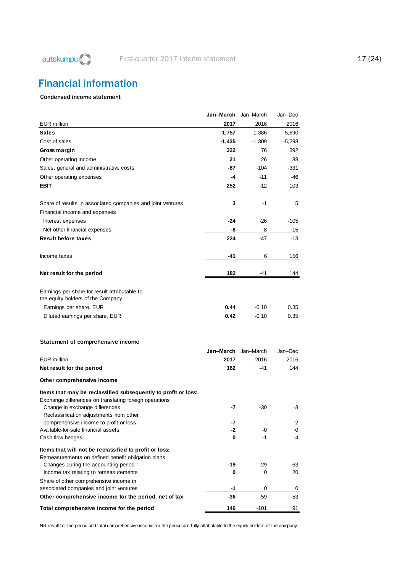# <span id="page-17-0"></span>Financial information

#### Condensed income statement

|                                                                                                                          | Jan–March | Jan-March | Jan-Dec  |
|--------------------------------------------------------------------------------------------------------------------------|-----------|-----------|----------|
| <b>EUR</b> million                                                                                                       | 2017      | 2016      | 2016     |
| <b>Sales</b>                                                                                                             | 1,757     | 1.386     | 5,690    |
| Cost of sales                                                                                                            | $-1,435$  | $-1,309$  | $-5,298$ |
| Gross margin                                                                                                             | 322       | 76        | 392      |
| Other operating income                                                                                                   | 21        | 26        | 88       |
| Sales, general and administrative costs                                                                                  | -87       | $-104$    | $-331$   |
| Other operating expenses                                                                                                 | -4        | -11       | -46      |
| <b>EBIT</b>                                                                                                              | 252       | $-12$     | 103      |
| Share of results in associated companies and joint ventures                                                              | 3         | $-1$      | 5        |
| Financial income and expenses                                                                                            |           |           |          |
| Interest expenses                                                                                                        | -24       | -26       | -105     |
| Net other financial expenses                                                                                             | -8        | -8        | -15      |
| <b>Result before taxes</b>                                                                                               | 224       | -47       | -13      |
| Income taxes                                                                                                             | -41       | 6         | 156      |
| Net result for the period                                                                                                | 182       | -41       | 144      |
|                                                                                                                          |           |           |          |
| Earnings per share for result attributable to<br>the equity holders of the Company                                       |           |           |          |
| Earnings per share, EUR                                                                                                  | 0.44      | $-0.10$   | 0.35     |
| Diluted earnings per share, EUR                                                                                          | 0.42      | $-0.10$   | 0.35     |
| Statement of comprehensive income                                                                                        |           |           |          |
|                                                                                                                          | Jan–March | Jan-March | Jan-Dec  |
| <b>EUR million</b>                                                                                                       | 2017      | 2016      | 2016     |
| Net result for the period                                                                                                | 182       | -41       | 144      |
| Other comprehensive income                                                                                               |           |           |          |
| Items that may be reclassified subsequently to profit or loss:<br>Exchange differences on translating foreign operations |           |           |          |
| Change in exchange differences<br>Reclassification adjustments from other                                                | -7        | -30       | -3       |
| comprehensive income to profit or loss                                                                                   | -7        |           | -2       |
| Available-for-sale financial assets                                                                                      | -2        | -0        | -0       |
| Cash flow hedges                                                                                                         | 0         | $-1$      | -4       |
| Items that will not be reclassified to profit or loss:<br>Remeasurements on defined benefit obligation plans             |           |           |          |
| Changes during the accounting period                                                                                     | $-19$     | -29       | -63      |
| Income tax relating to remeasurements                                                                                    | 0         | 0         | 20       |
| Share of other comprehensive income in<br>associated companies and joint ventures                                        | -1        | 0         | 0        |
| Other comprehensive income for the period, net of tax                                                                    | -36       | -59       | -53      |
| Total comprehensive income for the period                                                                                | 146       | $-101$    | 91       |

Net result for the period and total comprehensive income for the period are fully attributable to the equity holders of the company.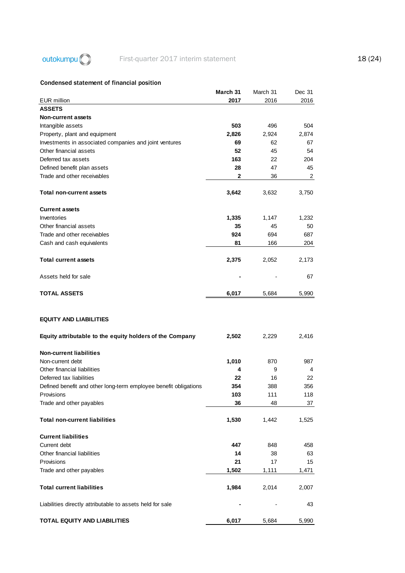

# outokumpu C First-quarter 2017 interim statement 18 (24)

### Condensed statement of financial position

|                                                                  | March 31 | March 31 | Dec 31 |
|------------------------------------------------------------------|----------|----------|--------|
| <b>EUR</b> million                                               | 2017     | 2016     | 2016   |
| <b>ASSETS</b>                                                    |          |          |        |
| Non-current assets                                               |          |          |        |
| Intangible assets                                                | 503      | 496      | 504    |
| Property, plant and equipment                                    | 2,826    | 2,924    | 2,874  |
| Investments in associated companies and joint ventures           | 69       | 62       | 67     |
| Other financial assets                                           | 52       | 45       | 54     |
| Deferred tax assets                                              | 163      | 22       | 204    |
| Defined benefit plan assets                                      | 28       | 47       | 45     |
| Trade and other receivables                                      | 2        | 36       | 2      |
|                                                                  |          |          |        |
| Total non-current assets                                         | 3,642    | 3,632    | 3,750  |
| <b>Current assets</b>                                            |          |          |        |
| Inventories                                                      | 1,335    | 1,147    | 1,232  |
| Other financial assets                                           | 35       | 45       | 50     |
| Trade and other receivables                                      | 924      | 694      | 687    |
| Cash and cash equivalents                                        | 81       | 166      | 204    |
|                                                                  |          |          |        |
| <b>Total current assets</b>                                      | 2,375    | 2,052    | 2,173  |
| Assets held for sale                                             |          |          | 67     |
| <b>TOTAL ASSETS</b>                                              | 6,017    | 5,684    | 5,990  |
| <b>EQUITY AND LIABILITIES</b>                                    | 2,502    | 2,229    | 2,416  |
| Equity attributable to the equity holders of the Company         |          |          |        |
| <b>Non-current liabilities</b>                                   |          |          |        |
| Non-current debt                                                 | 1,010    | 870      | 987    |
| Other financial liabilities                                      | 4        | 9        | 4      |
| Deferred tax liabilities                                         | 22       | 16       | 22     |
| Defined benefit and other long-term employee benefit obligations | 354      | 388      | 356    |
| Provisions                                                       | 103      | 111      | 118    |
| Trade and other payables                                         | 36       | 48       | 37     |
|                                                                  |          |          |        |
| <b>Total non-current liabilities</b>                             | 1,530    | 1,442    | 1,525  |
| <b>Current liabilities</b>                                       |          |          |        |
| Current debt                                                     | 447      | 848      | 458    |
| Other financial liabilities                                      | 14       | 38       | 63     |
| Provisions                                                       | 21       | 17       | 15     |
| Trade and other payables                                         | 1,502    | 1,111    | 1,471  |
|                                                                  |          |          |        |
| <b>Total current liabilities</b>                                 | 1,984    | 2,014    | 2,007  |
| Liabilities directly attributable to assets held for sale        |          |          | 43     |
| TOTAL EQUITY AND LIABILITIES                                     | 6,017    | 5,684    | 5,990  |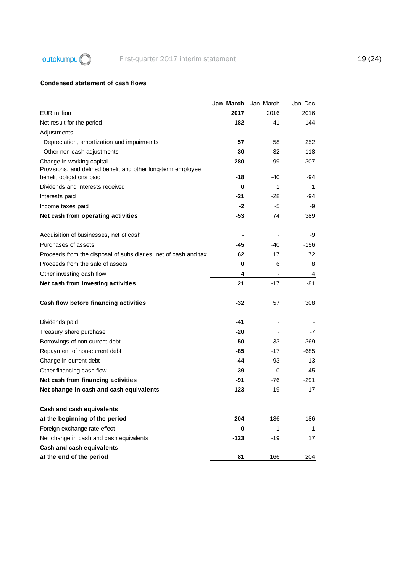

### Condensed statement of cash flows

|                                                                                                                       | Jan–March     | Jan-March | Jan–Dec    |
|-----------------------------------------------------------------------------------------------------------------------|---------------|-----------|------------|
| <b>EUR</b> million                                                                                                    | 2017          | 2016      | 2016       |
| Net result for the period                                                                                             | 182           | -41       | 144        |
| Adjustments                                                                                                           |               |           |            |
| Depreciation, amortization and impairments                                                                            | 57            | 58        | 252        |
| Other non-cash adjustments                                                                                            | 30            | 32        | $-118$     |
| Change in working capital<br>Provisions, and defined benefit and other long-term employee<br>benefit obligations paid | $-280$<br>-18 | 99<br>-40 | 307<br>-94 |
| Dividends and interests received                                                                                      | 0             | 1         | 1          |
| Interests paid                                                                                                        | -21           | $-28$     | -94        |
| Income taxes paid                                                                                                     | -2            | -5        | -9         |
|                                                                                                                       | -53           | 74        | 389        |
| Net cash from operating activities                                                                                    |               |           |            |
| Acquisition of businesses, net of cash                                                                                |               |           | -9         |
| Purchases of assets                                                                                                   | -45           | $-40$     | -156       |
| Proceeds from the disposal of subsidiaries, net of cash and tax                                                       | 62            | 17        | 72         |
| Proceeds from the sale of assets                                                                                      | 0             | 6         | 8          |
| Other investing cash flow                                                                                             | 4             |           | 4          |
| Net cash from investing activities                                                                                    | 21            | $-17$     | -81        |
| Cash flow before financing activities                                                                                 | $-32$         | 57        | 308        |
| Dividends paid                                                                                                        | -41           |           |            |
| Treasury share purchase                                                                                               | -20           |           | -7         |
| Borrowings of non-current debt                                                                                        | 50            | 33        | 369        |
| Repayment of non-current debt                                                                                         | -85           | $-17$     | -685       |
| Change in current debt                                                                                                | 44            | -93       | -13        |
| Other financing cash flow                                                                                             | $-39$         | 0         | 45         |
| Net cash from financing activities                                                                                    | -91           | -76       | -291       |
| Net change in cash and cash equivalents                                                                               | $-123$        | -19       | 17         |
| Cash and cash equivalents                                                                                             |               |           |            |
| at the beginning of the period                                                                                        | 204           | 186       | 186        |
| Foreign exchange rate effect                                                                                          | 0             | $-1$      | 1          |
| Net change in cash and cash equivalents                                                                               | $-123$        | -19       | 17         |
| Cash and cash equivalents                                                                                             |               |           |            |
| at the end of the period                                                                                              | 81            | 166       | 204        |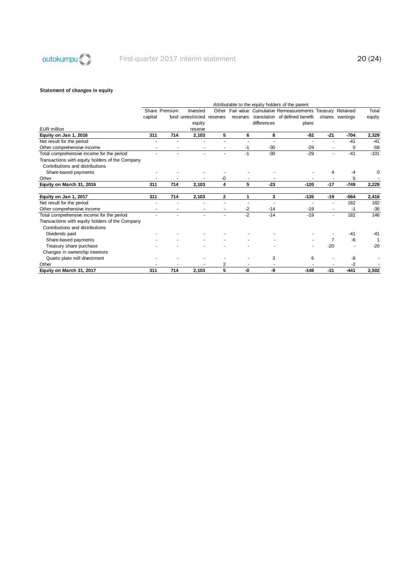

#### Statement of changes in equity

|                                                 |         |               |                   |             |          |             | Attributable to the equity holders of the parent       |                |                 |        |
|-------------------------------------------------|---------|---------------|-------------------|-------------|----------|-------------|--------------------------------------------------------|----------------|-----------------|--------|
|                                                 |         | Share Premium | Invested          | Other       |          |             | Fair value Cumulative Remeasurements Treasury Retained |                |                 | Total  |
|                                                 | capital |               | fund unrestricted | reserves    | reserves |             | translation of defined benefit                         |                | shares earnings | equity |
|                                                 |         |               | equity            |             |          | differences | plans                                                  |                |                 |        |
| <b>EUR</b> million                              |         |               | reserve           |             |          |             |                                                        |                |                 |        |
| Equity on Jan 1, 2016                           | 311     | 714           | 2,103             | 5           | 6        | 8           | -92                                                    | $-21$          | -704            | 2,329  |
| Net result for the period                       |         |               |                   |             |          |             |                                                        |                | $-41$           | $-41$  |
| Other comprehensive income                      |         |               |                   |             | -1       | $-30$       | $-29$                                                  |                | 0               | $-59$  |
| Total comprehensive income for the period       |         |               |                   |             | $-1$     | $-30$       | $-29$                                                  | ÷              | $-41$           | $-101$ |
| Transactions with equity holders of the Company |         |               |                   |             |          |             |                                                        |                |                 |        |
| Contributions and distributions                 |         |               |                   |             |          |             |                                                        |                |                 |        |
| Share-based payments                            |         |               |                   |             |          |             |                                                        | 4              | -4              | 0      |
| Other                                           |         |               |                   | -0          |          |             |                                                        |                | 0               |        |
| Equity on March 31, 2016                        | 311     | 714           | 2,103             | 4           | 5        | $-23$       | $-120$                                                 | $-17$          | $-749$          | 2,229  |
| Equity on Jan 1, 2017                           | 311     | 714           | 2,103             | $\mathbf 2$ | 1        | 3           | $-135$                                                 | $-19$          | -564            | 2,416  |
| Net result for the period                       |         |               |                   |             |          |             |                                                        |                | 182             | 182    |
| Other comprehensive income                      |         |               |                   |             | -2       | $-14$       | $-19$                                                  | $\sim$         | $-1$            | $-36$  |
| Total comprehensive income for the period       |         |               |                   |             | $-2$     | $-14$       | $-19$                                                  | $\blacksquare$ | 182             | 146    |
| Transactions with equity holders of the Company |         |               |                   |             |          |             |                                                        |                |                 |        |
| Contributions and distributions                 |         |               |                   |             |          |             |                                                        |                |                 |        |
| Dividends paid                                  |         |               |                   |             |          |             |                                                        |                | $-41$           | $-41$  |
| Share-based payments                            |         |               |                   |             |          |             |                                                        | $\overline{7}$ | -6              |        |
| Treasury share purchase                         |         |               |                   |             |          |             |                                                        | $-20$          |                 | $-20$  |
| Changes in ownership interests                  |         |               |                   |             |          |             |                                                        |                |                 |        |
| Quarto plate mill divestment                    |         |               |                   |             |          | 3           | 6                                                      |                | -8              |        |
| Other                                           |         |               |                   | 2           |          |             |                                                        |                | $-2$            |        |
| Equity on March 31, 2017                        | 311     | 714           | 2,103             | 5           | -0       | -9          | $-148$                                                 | $-31$          | $-441$          | 2.502  |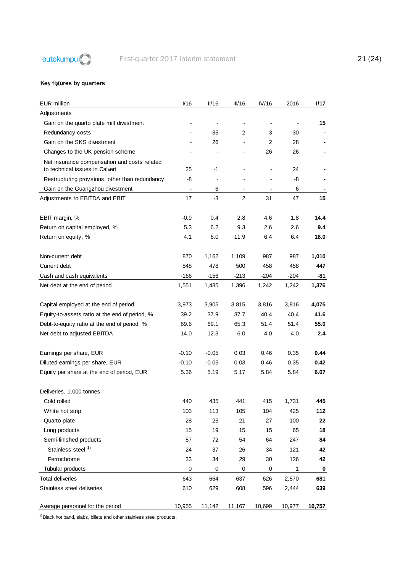

### Key figures by quarters

| <b>EUR</b> million                              | I/16                         | II/16                    | III/16         | IV/16          | 2016   | I/17   |
|-------------------------------------------------|------------------------------|--------------------------|----------------|----------------|--------|--------|
| Adjustments                                     |                              |                          |                |                |        |        |
| Gain on the quarto plate mill divestment        |                              | $\overline{\phantom{a}}$ |                |                |        | 15     |
| Redundancy costs                                | $\overline{\phantom{0}}$     | $-35$                    | $\overline{2}$ | 3              | $-30$  |        |
| Gain on the SKS divestment                      | $\qquad \qquad \blacksquare$ | 26                       |                | $\overline{2}$ | 28     |        |
| Changes to the UK pension scheme                |                              |                          |                | 26             | 26     |        |
| Net insurance compensation and costs related    |                              |                          |                |                |        |        |
| to technical issues in Calvert                  | 25                           | -1                       | $\overline{a}$ |                | 24     |        |
| Restructuring provisions, other than redundancy | -8                           | $\overline{\phantom{a}}$ |                |                | -8     |        |
| Gain on the Guangzhou divestment                | $\overline{\phantom{a}}$     | 6                        |                |                | 6      |        |
| Adjustments to EBITDA and EBIT                  | 17                           | -3                       | $\overline{2}$ | 31             | 47     | 15     |
| EBIT margin, %                                  | $-0.9$                       | 0.4                      | 2.8            | 4.6            | 1.8    | 14.4   |
| Return on capital employed, %                   | 5.3                          | 6.2                      | 9.3            | 2.6            | 2.6    | 9.4    |
| Return on equity, %                             | 4.1                          | 6.0                      | 11.9           | 6.4            | 6.4    | 16.0   |
|                                                 |                              |                          |                |                |        |        |
| Non-current debt                                | 870                          | 1,162                    | 1,109          | 987            | 987    | 1,010  |
| Current debt                                    | 848                          | 478                      | 500            | 458            | 458    | 447    |
| Cash and cash equivalents                       | $-166$                       | $-156$                   | $-213$         | $-204$         | $-204$ | -81    |
| Net debt at the end of period                   | 1,551                        | 1,485                    | 1,396          | 1,242          | 1,242  | 1,376  |
|                                                 |                              |                          |                |                |        |        |
| Capital employed at the end of period           | 3,973                        | 3,905                    | 3,815          | 3,816          | 3,816  | 4,075  |
| Equity-to-assets ratio at the end of period, %  | 39.2                         | 37.9                     | 37.7           | 40.4           | 40.4   | 41.6   |
| Debt-to-equity ratio at the end of period, %    | 69.6                         | 69.1                     | 65.3           | 51.4           | 51.4   | 55.0   |
| Net debt to adjusted EBITDA                     | 14.0                         | 12.3                     | 6.0            | 4.0            | 4.0    | 2.4    |
|                                                 |                              |                          |                |                |        |        |
| Earnings per share, EUR                         | $-0.10$                      | $-0.05$                  | 0.03           | 0.46           | 0.35   | 0.44   |
| Diluted earnings per share, EUR                 | $-0.10$                      | $-0.05$                  | 0.03           | 0.46           | 0.35   | 0.42   |
| Equity per share at the end of period, EUR      | 5.36                         | 5.19                     | 5.17           | 5.84           | 5.84   | 6.07   |
| Deliveries, 1,000 tonnes                        |                              |                          |                |                |        |        |
| Cold rolled                                     | 440                          | 435                      | 441            | 415            | 1.731  | 445    |
| White hot strip                                 | 103                          | 113                      | 105            | 104            | 425    | 112    |
| Quarto plate                                    | 28                           | 25                       | 21             | 27             | 100    | 22     |
| Long products                                   | 15                           | 19                       | 15             | 15             | 65     | 18     |
| Semi-finished products                          | 57                           | 72                       | 54             | 64             | 247    | 84     |
| Stainless steel <sup>1)</sup>                   | 24                           | 37                       | 26             | 34             | 121    | 42     |
| Ferrochrome                                     | 33                           | 34                       | 29             | 30             | 126    | 42     |
| Tubular products                                | 0                            | 0                        | 0              | 0              | 1      | 0      |
| <b>Total deliveries</b>                         | 643                          | 664                      | 637            | 626            | 2,570  | 681    |
| Stainless steel deliveries                      | 610                          | 629                      | 608            | 596            | 2,444  | 639    |
|                                                 |                              |                          |                |                |        |        |
| Average personnel for the period                | 10,955                       | 11,142                   | 11,167         | 10,699         | 10,977 | 10,757 |

 $1)$  Black hot band, slabs, billets and other stainless steel products.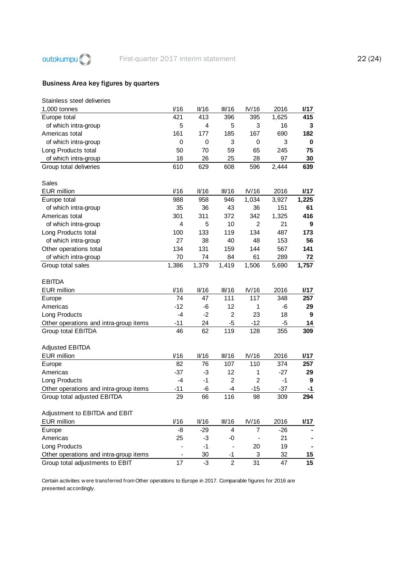

## Business Area key figures by quarters

| V16   | II/16                     | III/16                                   | IV/16                                     | 2016                        | 1/17                                                                |
|-------|---------------------------|------------------------------------------|-------------------------------------------|-----------------------------|---------------------------------------------------------------------|
| 421   | 413                       | 396                                      | 395                                       | 1,625                       | 415                                                                 |
| 5     | 4                         | 5                                        | 3                                         | 16                          | 3                                                                   |
| 161   | 177                       | 185                                      | 167                                       | 690                         | 182                                                                 |
| 0     | 0                         | 3                                        | 0                                         | 3                           | 0                                                                   |
| 50    | 70                        | 59                                       | 65                                        | 245                         | 75                                                                  |
| 18    | 26                        | 25                                       | 28                                        | 97                          | 30                                                                  |
| 610   | 629                       | 608                                      | 596                                       | 2,444                       | 639                                                                 |
|       |                           |                                          |                                           |                             |                                                                     |
|       |                           |                                          |                                           |                             |                                                                     |
| V16   | II/16                     | III/16                                   | IV/16                                     | 2016                        | I/17                                                                |
| 988   | 958                       | 946                                      | 1,034                                     | 3,927                       | 1,225                                                               |
| 35    | 36                        | 43                                       | 36                                        | 151                         | 61                                                                  |
| 301   | 311                       | 372                                      | 342                                       | 1,325                       | 416                                                                 |
| 4     | 5                         | 10                                       | $\overline{2}$                            | 21                          | 9                                                                   |
| 100   |                           |                                          |                                           | 487                         | 173                                                                 |
| 27    |                           |                                          | 48                                        |                             | 56                                                                  |
|       |                           |                                          | 144                                       |                             | 141                                                                 |
|       |                           |                                          |                                           |                             | 72                                                                  |
|       |                           |                                          |                                           |                             | 1,757                                                               |
|       |                           |                                          |                                           |                             |                                                                     |
|       |                           |                                          |                                           |                             |                                                                     |
|       |                           |                                          |                                           |                             | <b>1/17</b>                                                         |
|       |                           |                                          |                                           |                             | 257                                                                 |
|       |                           |                                          |                                           |                             |                                                                     |
| $-12$ | -6                        | 12                                       | 1                                         | -6                          | 29                                                                  |
| $-4$  | $-2$                      | $\overline{c}$                           | 23                                        | 18                          | 9                                                                   |
| $-11$ | 24                        |                                          | $-12$                                     |                             | 14                                                                  |
| 46    | 62                        | $-5$<br>119                              | 128                                       | -5<br>355                   | 309                                                                 |
|       |                           |                                          |                                           |                             |                                                                     |
|       |                           |                                          |                                           |                             |                                                                     |
| V16   | II/16                     | III/16                                   | IV/16                                     | 2016                        | I/17                                                                |
| 82    | 76                        | 107                                      | 110                                       | 374                         | 257                                                                 |
| $-37$ |                           | 12                                       | 1                                         |                             |                                                                     |
| $-4$  | $-3$<br>$-1$              | $\overline{2}$                           | $\overline{2}$                            | $-27$<br>$-1$               | 29<br>9                                                             |
| $-11$ | $-6$                      | $-4$                                     | $-15$                                     | $-37$                       | -1                                                                  |
| 29    | 66                        |                                          | 98                                        |                             | 294                                                                 |
|       |                           | 116                                      |                                           | 309                         |                                                                     |
|       |                           |                                          |                                           |                             |                                                                     |
|       |                           |                                          |                                           |                             |                                                                     |
| V16   | II/16                     | III/16                                   | IV/16<br>7                                | 2016                        | 1/17                                                                |
| -8    | $-29$                     | 4                                        |                                           | $-26$                       |                                                                     |
| 25    | $-3$<br>$-1$              | -0                                       |                                           | 21                          |                                                                     |
|       | 30                        | $-1$                                     | 20<br>3                                   | 19<br>32                    | 15                                                                  |
|       | 134<br>70<br>1,386<br>V16 | 133<br>38<br>131<br>74<br>1,379<br>II/16 | 119<br>40<br>159<br>84<br>1,419<br>III/16 | 134<br>61<br>1,506<br>IV/16 | 153<br>567<br>289<br>5,690<br>2016<br>74<br>47<br>111<br>117<br>348 |

Certain activities w ere transferred from Other operations to Europe in 2017. Comparable figures for 2016 are presented accordingly.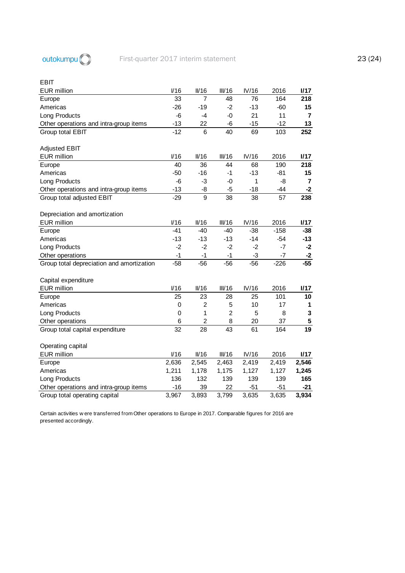

#### EBIT

| <b>EUR</b> million                        | V16             | II/16           | III/16         | IV/16          | 2016   | I/17                    |
|-------------------------------------------|-----------------|-----------------|----------------|----------------|--------|-------------------------|
| Europe                                    | 33              | 7               | 48             | 76             | 164    | 218                     |
| Americas                                  | $-26$           | $-19$           | $-2$           | $-13$          | $-60$  | 15                      |
| Long Products                             | $-6$            | $-4$            | $-0$           | 21             | 11     | $\overline{\mathbf{r}}$ |
| Other operations and intra-group items    | $-13$           | 22              | $-6$           | $-15$          | $-12$  | 13                      |
| Group total EBIT                          | $-12$           | 6               | 40             | 69             | 103    | 252                     |
|                                           |                 |                 |                |                |        |                         |
| <b>Adjusted EBIT</b>                      |                 |                 |                |                |        |                         |
| <b>EUR</b> million                        | V16             | II/16           | III/16         | IV/16          | 2016   | 1/17                    |
| Europe                                    | 40              | 36              | 44             | 68             | 190    | 218                     |
| Americas                                  | $-50$           | $-16$           | $-1$           | $-13$          | $-81$  | 15                      |
| Long Products                             | -6              | -3              | -0             | 1              | -8     | $\overline{7}$          |
| Other operations and intra-group items    | $-13$           | -8              | $-5$           | $-18$          | $-44$  | $-2$                    |
| Group total adjusted EBIT                 | $-29$           | 9               | 38             | 38             | 57     | 238                     |
|                                           |                 |                 |                |                |        |                         |
| Depreciation and amortization             |                 |                 |                |                |        |                         |
| <b>EUR</b> million                        | V16<br>$-41$    | II/16<br>$-40$  | III/16         | IV/16<br>$-38$ | 2016   | I/17                    |
| Europe                                    |                 |                 | $-40$          |                | $-158$ | $-38$                   |
| Americas                                  | $-13$           | $-13$           | $-13$          | $-14$          | $-54$  | $-13$                   |
| Long Products                             | $-2$            | $-2$            | $-2$           | $-2$           | $-7$   | $-2$                    |
| Other operations                          | $-1$            | $-1$            | $-1$           | $-3$           | -7     | $-2$                    |
| Group total depreciation and amortization | $-58$           | $-56$           | $-56$          | $-56$          | $-226$ | $-55$                   |
| Capital expenditure                       |                 |                 |                |                |        |                         |
| <b>EUR</b> million                        | V16             | II/16           | III/16         | IV/16          | 2016   | I/17                    |
| Europe                                    | 25              | 23              | 28             | 25             | 101    | 10                      |
| Americas                                  | 0               | $\overline{2}$  | 5              | 10             | 17     | 1                       |
| Long Products                             | 0               | 1               | $\overline{2}$ | 5              | 8      | 3                       |
| Other operations                          | 6               | $\overline{c}$  | 8              | 20             | 37     | 5                       |
| Group total capital expenditure           | $\overline{32}$ | $\overline{28}$ | 43             | 61             | 164    | $\overline{19}$         |
|                                           |                 |                 |                |                |        |                         |
| Operating capital                         |                 |                 |                |                |        |                         |
| <b>EUR</b> million                        | V16             | II/16           | III/16         | IV/16          | 2016   | I/17                    |
| Europe                                    | 2,636           | 2,545           | 2,463          | 2,419          | 2,419  | 2,546                   |
| Americas                                  | 1,211           | 1,178           | 1,175          | 1,127          | 1,127  | 1,245                   |
| Long Products                             | 136             | 132             | 139            | 139            | 139    | 165                     |
| Other operations and intra-group items    | $-16$           | 39              | 22             | $-51$          | $-51$  | -21                     |
| Group total operating capital             | 3,967           | 3,893           | 3,799          | 3,635          | 3,635  | 3,934                   |

Certain activities w ere transferred from Other operations to Europe in 2017. Comparable figures for 2016 are presented accordingly.